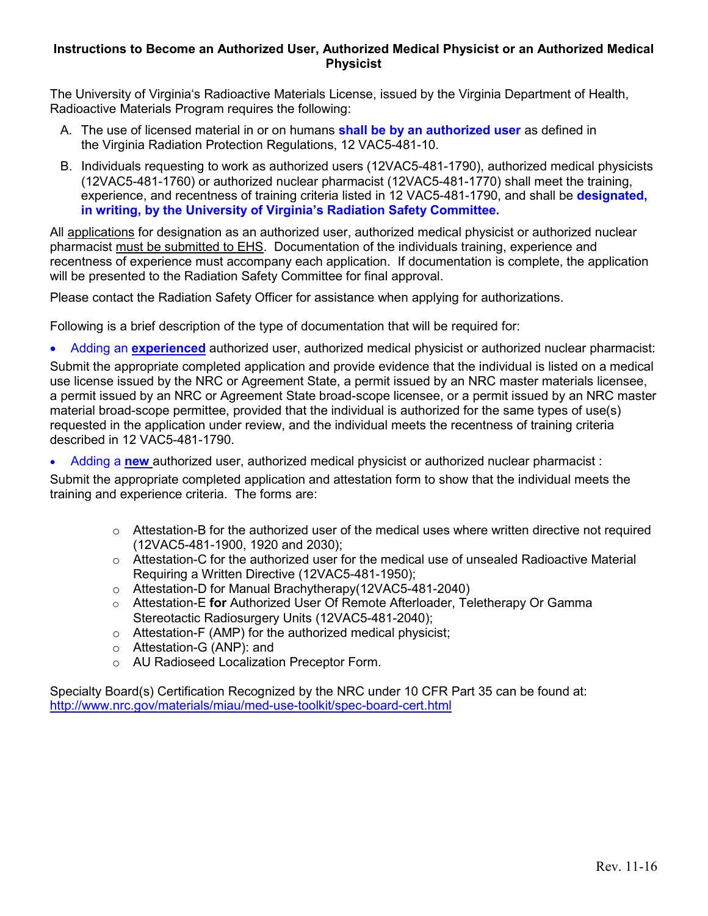#### **Instructions to Become an Authorized User, Authorized Medical Physicist or an Authorized Medical Physicist**

The University of Virginia's Radioactive Materials License, issued by the Virginia Department of Health, Radioactive Materials Program requires the following:

- A. The use of licensed material in or on humans **shall be by an authorized user** as defined in the Virginia Radiation Protection Regulations, 12 VAC5-481-10.
- B. Individuals requesting to work as authorized users (12VAC5-481-1790), authorized medical physicists (12VAC5-481-1760) or authorized nuclear pharmacist (12VAC5-481-1770) shall meet the training, experience, and recentness of training criteria listed in 12 VAC5-481-1790, and shall be **designated, in writing, by the University of Virginia's Radiation Safety Committee.**

All applications for designation as an authorized user, authorized medical physicist or authorized nuclear pharmacist must be submitted to EHS. Documentation of the individuals training, experience and recentness of experience must accompany each application. If documentation is complete, the application will be presented to the Radiation Safety Committee for final approval.

Please contact the Radiation Safety Officer for assistance when applying for authorizations.

Following is a brief description of the type of documentation that will be required for:

• Adding an **experienced** authorized user, authorized medical physicist or authorized nuclear pharmacist:

Submit the appropriate completed application and provide evidence that the individual is listed on a medical use license issued by the NRC or Agreement State, a permit issued by an NRC master materials licensee, a permit issued by an NRC or Agreement State broad-scope licensee, or a permit issued by an NRC master material broad-scope permittee, provided that the individual is authorized for the same types of use(s) requested in the application under review, and the individual meets the recentness of training criteria described in 12 VAC5-481-1790.

• Adding a **new** authorized user, authorized medical physicist or authorized nuclear pharmacist :

Submit the appropriate completed application and attestation form to show that the individual meets the training and experience criteria. The forms are:

- $\circ$  Attestation-B for the authorized user of the medical uses where written directive not required (12VAC5-481-1900, 1920 and 2030);
- $\circ$  Attestation-C for the authorized user for the medical use of unsealed Radioactive Material Requiring a Written Directive (12VAC5-481-1950);
- o Attestation-D for Manual Brachytherapy(12VAC5-481-2040)
- o Attestation-E **for** Authorized User Of Remote Afterloader, Teletherapy Or Gamma Stereotactic Radiosurgery Units (12VAC5-481-2040);
- o Attestation-F (AMP) for the authorized medical physicist;
- o Attestation-G (ANP): and
- o AU Radioseed Localization Preceptor Form.

Specialty Board(s) Certification Recognized by the NRC under 10 CFR Part 35 can be found at: <http://www.nrc.gov/materials/miau/med-use-toolkit/spec-board-cert.html>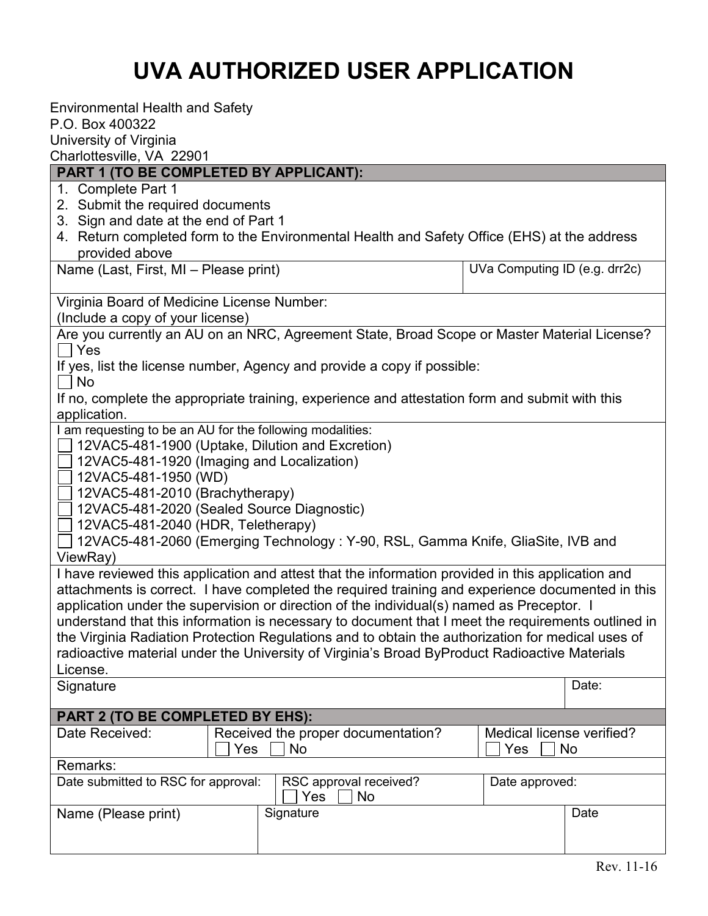# **UVA AUTHORIZED USER APPLICATION**

| <b>Environmental Health and Safety</b><br>P.O. Box 400322<br>University of Virginia<br>Charlottesville, VA 22901                                                                                                                                          |                                        |  |  |
|-----------------------------------------------------------------------------------------------------------------------------------------------------------------------------------------------------------------------------------------------------------|----------------------------------------|--|--|
| PART 1 (TO BE COMPLETED BY APPLICANT):                                                                                                                                                                                                                    |                                        |  |  |
| 1. Complete Part 1<br>2. Submit the required documents<br>3. Sign and date at the end of Part 1<br>4. Return completed form to the Environmental Health and Safety Office (EHS) at the address<br>provided above<br>Name (Last, First, MI - Please print) | UVa Computing ID (e.g. drr2c)          |  |  |
|                                                                                                                                                                                                                                                           |                                        |  |  |
| Virginia Board of Medicine License Number:                                                                                                                                                                                                                |                                        |  |  |
| (Include a copy of your license)<br>Are you currently an AU on an NRC, Agreement State, Broad Scope or Master Material License?                                                                                                                           |                                        |  |  |
| Yes                                                                                                                                                                                                                                                       |                                        |  |  |
| If yes, list the license number, Agency and provide a copy if possible:                                                                                                                                                                                   |                                        |  |  |
| No                                                                                                                                                                                                                                                        |                                        |  |  |
| If no, complete the appropriate training, experience and attestation form and submit with this                                                                                                                                                            |                                        |  |  |
| application.                                                                                                                                                                                                                                              |                                        |  |  |
| I am requesting to be an AU for the following modalities:<br>12VAC5-481-1900 (Uptake, Dilution and Excretion)                                                                                                                                             |                                        |  |  |
| 12VAC5-481-1920 (Imaging and Localization)                                                                                                                                                                                                                |                                        |  |  |
| 12VAC5-481-1950 (WD)                                                                                                                                                                                                                                      |                                        |  |  |
| 12VAC5-481-2010 (Brachytherapy)                                                                                                                                                                                                                           |                                        |  |  |
| 12VAC5-481-2020 (Sealed Source Diagnostic)                                                                                                                                                                                                                |                                        |  |  |
| 12VAC5-481-2040 (HDR, Teletherapy)                                                                                                                                                                                                                        |                                        |  |  |
| 12VAC5-481-2060 (Emerging Technology: Y-90, RSL, Gamma Knife, GliaSite, IVB and                                                                                                                                                                           |                                        |  |  |
| ViewRay)                                                                                                                                                                                                                                                  |                                        |  |  |
| I have reviewed this application and attest that the information provided in this application and                                                                                                                                                         |                                        |  |  |
| attachments is correct. I have completed the required training and experience documented in this                                                                                                                                                          |                                        |  |  |
| application under the supervision or direction of the individual(s) named as Preceptor. I                                                                                                                                                                 |                                        |  |  |
| understand that this information is necessary to document that I meet the requirements outlined in<br>the Virginia Radiation Protection Regulations and to obtain the authorization for medical uses of                                                   |                                        |  |  |
| radioactive material under the University of Virginia's Broad ByProduct Radioactive Materials                                                                                                                                                             |                                        |  |  |
| License.                                                                                                                                                                                                                                                  |                                        |  |  |
| Signature                                                                                                                                                                                                                                                 | Date:                                  |  |  |
|                                                                                                                                                                                                                                                           |                                        |  |  |
| <b>PART 2 (TO BE COMPLETED BY EHS):</b>                                                                                                                                                                                                                   |                                        |  |  |
| Received the proper documentation?<br>Date Received:<br>No<br>Yes                                                                                                                                                                                         | Medical license verified?<br>Yes<br>No |  |  |
| Remarks:                                                                                                                                                                                                                                                  |                                        |  |  |
| Date submitted to RSC for approval:<br>RSC approval received?<br>Yes<br>No                                                                                                                                                                                | Date approved:                         |  |  |
| Signature<br>Name (Please print)                                                                                                                                                                                                                          | Date                                   |  |  |
|                                                                                                                                                                                                                                                           |                                        |  |  |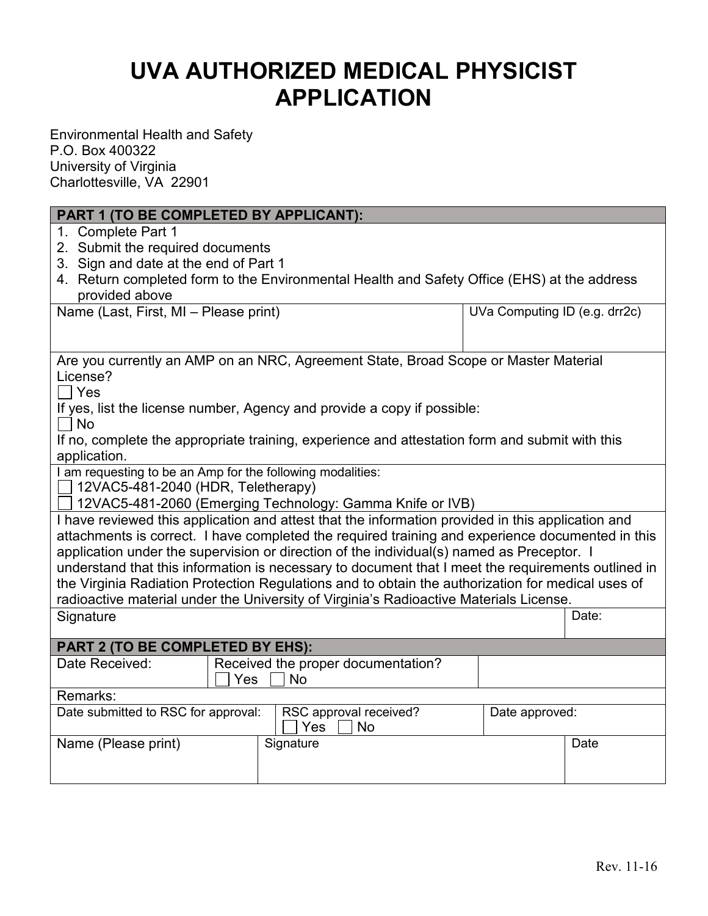## **UVA AUTHORIZED MEDICAL PHYSICIST APPLICATION**

Environmental Health and Safety P.O. Box 400322 University of Virginia Charlottesville, VA 22901

### **PART 1 (TO BE COMPLETED BY APPLICANT):**

- 1. Complete Part 1
- 2. Submit the required documents
- 3. Sign and date at the end of Part 1
- 4. Return completed form to the Environmental Health and Safety Office (EHS) at the address provided above

Name (Last, First, MI – Please print)

| UVa Computing ID (e.g. drr2c) |  |
|-------------------------------|--|
|-------------------------------|--|

| Are you currently an AMP on an NRC, Agreement State, Broad Scope or Master Material |  |
|-------------------------------------------------------------------------------------|--|
| License?                                                                            |  |
| $\Box$                                                                              |  |

l Yes

If yes, list the license number, Agency and provide a copy if possible:

l INo

If no, complete the appropriate training, experience and attestation form and submit with this application.

I am requesting to be an Amp for the following modalities:

 $\Box$  12VAC5-481-2040 (HDR, Teletherapy)

12VAC5-481-2060 (Emerging Technology: Gamma Knife or IVB)

I have reviewed this application and attest that the information provided in this application and attachments is correct. I have completed the required training and experience documented in this application under the supervision or direction of the individual(s) named as Preceptor. I understand that this information is necessary to document that I meet the requirements outlined in the Virginia Radiation Protection Regulations and to obtain the authorization for medical uses of radioactive material under the University of Virginia's Radioactive Materials License.

Signature Participation of the Contract of Contract of Contract of Contract of Contract of Date:

| <b>PART 2 (TO BE COMPLETED BY EHS):</b> |                                    |                                     |                |      |
|-----------------------------------------|------------------------------------|-------------------------------------|----------------|------|
| Date Received:                          | Received the proper documentation? |                                     |                |      |
|                                         | Yes<br>No.                         |                                     |                |      |
| Remarks:                                |                                    |                                     |                |      |
| Date submitted to RSC for approval:     |                                    | RSC approval received?<br>Yes<br>No | Date approved: |      |
| Name (Please print)                     |                                    | Signature                           |                | Date |
|                                         |                                    |                                     |                |      |